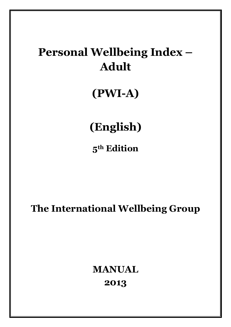# **Personal Wellbeing Index – Adult**

# **(PWI-A)**

# **(English)**

**5th Edition**

**The International Wellbeing Group**

# **MANUAL 2013**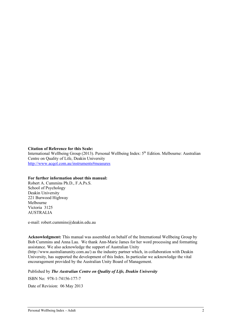#### **Citation of Reference for this Scale:**

International Wellbeing Group (2013). Personal Wellbeing Index:  $5<sup>th</sup>$  Edition. Melbourne: Australian Centre on Quality of Life, Deakin University http://www.acqol.com.au/instruments#measures

#### **For further information about this manual:**

Robert A. Cummins Ph.D., F.A.Ps.S. School of Psychology Deakin University 221 Burwood Highway Melbourne Victoria 3125 AUSTRALIA

e-mail: robert.cummins@deakin.edu.au

**Acknowledgment:** This manual was assembled on behalf of the International Wellbeing Group by Bob Cummins and Anna Lau. We thank Ann-Marie James for her word processing and formatting assistance. We also acknowledge the support of Australian Unity

(http://www.australianunity.com.au/) as the industry partner which, in collaboration with Deakin University, has supported the development of this Index. In particular we acknowledge the vital encouragement provided by the Australian Unity Board of Management.

Published by *The Australian Centre on Quality of Life, Deakin University*

ISBN No: 978-1-74156-177-7

Date of Revision: 06 May 2013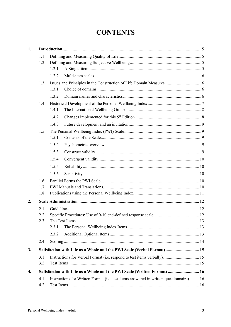# **CONTENTS**

| 1. |     |       |                                                                                        |  |  |  |  |  |  |  |  |
|----|-----|-------|----------------------------------------------------------------------------------------|--|--|--|--|--|--|--|--|
|    | 1.1 |       |                                                                                        |  |  |  |  |  |  |  |  |
|    | 1.2 |       |                                                                                        |  |  |  |  |  |  |  |  |
|    |     | 1.2.1 |                                                                                        |  |  |  |  |  |  |  |  |
|    |     | 1.2.2 |                                                                                        |  |  |  |  |  |  |  |  |
|    | 1.3 |       |                                                                                        |  |  |  |  |  |  |  |  |
|    |     | 1.3.1 |                                                                                        |  |  |  |  |  |  |  |  |
|    |     | 1.3.2 |                                                                                        |  |  |  |  |  |  |  |  |
|    | 1.4 |       |                                                                                        |  |  |  |  |  |  |  |  |
|    |     | 1.4.1 |                                                                                        |  |  |  |  |  |  |  |  |
|    |     | 1.4.2 |                                                                                        |  |  |  |  |  |  |  |  |
|    |     | 1.4.3 |                                                                                        |  |  |  |  |  |  |  |  |
|    | 1.5 |       |                                                                                        |  |  |  |  |  |  |  |  |
|    |     | 1.5.1 |                                                                                        |  |  |  |  |  |  |  |  |
|    |     | 1.5.2 |                                                                                        |  |  |  |  |  |  |  |  |
|    |     | 1.5.3 |                                                                                        |  |  |  |  |  |  |  |  |
|    |     | 1.5.4 |                                                                                        |  |  |  |  |  |  |  |  |
|    |     | 1.5.5 |                                                                                        |  |  |  |  |  |  |  |  |
|    |     | 1.5.6 |                                                                                        |  |  |  |  |  |  |  |  |
|    | 1.6 |       |                                                                                        |  |  |  |  |  |  |  |  |
|    | 1.7 |       |                                                                                        |  |  |  |  |  |  |  |  |
|    | 1.8 |       |                                                                                        |  |  |  |  |  |  |  |  |
| 2. |     |       |                                                                                        |  |  |  |  |  |  |  |  |
|    | 2.1 |       |                                                                                        |  |  |  |  |  |  |  |  |
|    | 2.2 |       |                                                                                        |  |  |  |  |  |  |  |  |
|    | 2.3 |       | The Test Items.                                                                        |  |  |  |  |  |  |  |  |
|    |     | 2.3.1 |                                                                                        |  |  |  |  |  |  |  |  |
|    |     | 2.3.2 |                                                                                        |  |  |  |  |  |  |  |  |
|    | 2.4 |       |                                                                                        |  |  |  |  |  |  |  |  |
| 3. |     |       | Satisfaction with Life as a Whole and the PWI Scale (Verbal Format) 15                 |  |  |  |  |  |  |  |  |
|    | 3.1 |       | Instructions for Verbal Format (i.e. respond to test items verbally).  15              |  |  |  |  |  |  |  |  |
|    | 3.2 |       |                                                                                        |  |  |  |  |  |  |  |  |
| 4. |     |       | Satisfaction with Life as a Whole and the PWI Scale (Written Format)  16               |  |  |  |  |  |  |  |  |
|    | 4.1 |       | Instructions for Written Format (i.e. test items answered in written questionnaire) 16 |  |  |  |  |  |  |  |  |
|    | 4.2 |       |                                                                                        |  |  |  |  |  |  |  |  |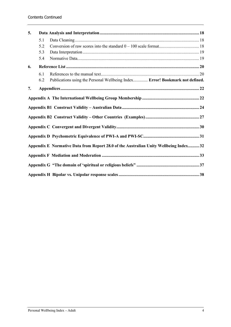| 5. |     |                                                                                       |  |  |  |  |  |  |
|----|-----|---------------------------------------------------------------------------------------|--|--|--|--|--|--|
|    | 5.1 |                                                                                       |  |  |  |  |  |  |
|    | 5.2 |                                                                                       |  |  |  |  |  |  |
|    | 5.3 |                                                                                       |  |  |  |  |  |  |
|    | 5.4 |                                                                                       |  |  |  |  |  |  |
| 6. |     |                                                                                       |  |  |  |  |  |  |
|    | 6.1 |                                                                                       |  |  |  |  |  |  |
|    | 6.2 | Publications using the Personal Wellbeing Index Error! Bookmark not defined.          |  |  |  |  |  |  |
| 7. |     |                                                                                       |  |  |  |  |  |  |
|    |     |                                                                                       |  |  |  |  |  |  |
|    |     |                                                                                       |  |  |  |  |  |  |
|    |     |                                                                                       |  |  |  |  |  |  |
|    |     |                                                                                       |  |  |  |  |  |  |
|    |     | Appendix E Normative Data from Report 28.0 of the Australian Unity Wellbeing Index 32 |  |  |  |  |  |  |
|    |     |                                                                                       |  |  |  |  |  |  |
|    |     |                                                                                       |  |  |  |  |  |  |
|    |     |                                                                                       |  |  |  |  |  |  |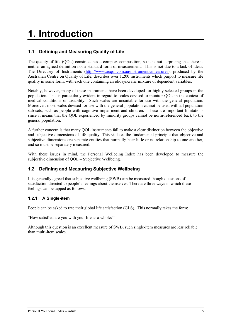# **1. Introduction**

## **1.1 Defining and Measuring Quality of Life**

The quality of life (QOL) construct has a complex composition, so it is not surprising that there is neither an agreed definition nor a standard form of measurement. This is not due to a lack of ideas. The Directory of Instruments (http://www.acqol.com.au/instruments#measures), produced by the Australian Centre on Quality of Life, describes over 1,200 instruments which purport to measure life quality in some form, with each one containing an idiosyncratic mixture of dependent variables.

Notably, however, many of these instruments have been developed for highly selected groups in the population. This is particularly evident in regard to scales devised to monitor QOL in the context of medical conditions or disability. Such scales are unsuitable for use with the general population. Moreover, most scales devised for use with the general population cannot be used with all population sub-sets, such as people with cognitive impairment and children. These are important limitations since it means that the QOL experienced by minority groups cannot be norm-referenced back to the general population.

A further concern is that many QOL instruments fail to make a clear distinction between the objective and subjective dimensions of life quality. This violates the fundamental principle that objective and subjective dimensions are separate entities that normally bear little or no relationship to one another, and so must be separately measured.

With these issues in mind, the Personal Wellbeing Index has been developed to measure the subjective dimension of OOL – Subjective Wellbeing.

### **1.2 Defining and Measuring Subjective Wellbeing**

It is generally agreed that subjective wellbeing (SWB) can be measured though questions of satisfaction directed to people's feelings about themselves. There are three ways in which these feelings can be tapped as follows:

#### **1.2.1 A Single-item**

People can be asked to rate their global life satisfaction (GLS). This normally takes the form:

"How satisfied are you with your life as a whole?"

Although this question is an excellent measure of SWB, such single-item measures are less reliable than multi-item scales.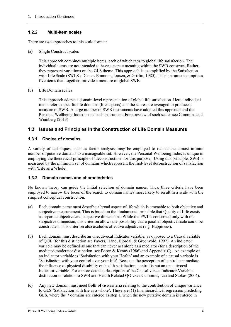#### **1.2.2 Multi-item scales**

There are two approaches to this scale format:

(a) Single Construct scales

This approach combines multiple items, each of which taps to global life satisfaction. The individual items are not intended to have separate meaning within the SWB construct. Rather, they represent variations on the GLS theme. This approach is exemplified by the Satisfaction with Life Scale (SWLS : Diener, Emmons, Larsen, & Griffin, 1985). This instrument comprises five items that, together, provide a measure of global SWB.

(b) Life Domain scales

This approach adopts a domain-level representation of global life satisfaction. Here, individual items refer to specific life domains (life aspects) and the scores are averaged to produce a measure of SWB. A large number of SWB instruments have adopted this approach and the Personal Wellbeing Index is one such instrument. For a review of such scales see Cummins and Weinberg (2013)

#### **1.3 Issues and Principles in the Construction of Life Domain Measures**

#### **1.3.1 Choice of domains**

A variety of techniques, such as factor analysis, may be employed to reduce the almost infinite number of putative domains to a manageable set. However, the Personal Wellbeing Index is unique in employing the theoretical principle of 'deconstruction' for this purpose. Using this principle, SWB is measured by the minimum set of domains which represent the first-level deconstruction of satisfaction with 'Life as a Whole'.

#### **1.3.2 Domain names and characteristics**

No known theory can guide the initial selection of domain names. Thus, three criteria have been employed to narrow the focus of the search to domain names most likely to result in a scale with the simplest conceptual construction.

- (a) Each domain name must describe a broad aspect of life which is amenable to both objective and subjective measurement. This is based on the fundamental principle that Quality of Life exists as separate objective and subjective dimensions. While the PWI is concerned only with the subjective dimension, this criterion allows the possibility that a parallel objective scale could be constructed. This criterion also excludes affective adjectives (e.g. Happiness).
- (b) Each domain must describe an unequivocal Indicator variable, as opposed to a Causal variable of QOL (for this distinction see Fayers, Hand, Bjordal, & Groenvold, 1997). An indicator variable may be defined as one that can never act alone as a mediator (for a description of the mediator-moderator distinction, see Baron & Kenny (1986) and Appendix C). An example of an indicator variable is 'Satisfaction with your Health' and an example of a causal variable is 'Satisfaction with your control over your life'. Because, the perception of control can mediate the influence of physical disability on health satisfaction, control is not an unequivocal Indicator variable. For a more detailed description of the Causal versus Indicator Variable distinction in relation to SWB and Health Related QOL see Cummins, Lau and Stokes (2004).
- (c) Any new domain must meet **both of two** criteria relating to the contribution of unique variance to GLS 'Satisfaction with life as a whole'. These are: (1) In a hierarchical regression predicting GLS, where the 7 domains are entered as step 1, when the new putative domain is entered in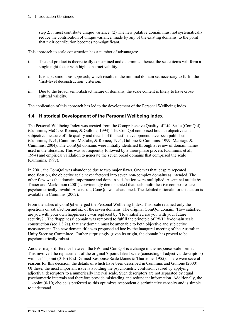step 2, it must contribute unique variance. (2) The new putative domain must not systematically reduce the contribution of unique variance, made by any of the existing domains, to the point that their contribution becomes non-significant.

This approach to scale construction has a number of advantages:

- i. The end product is theoretically constrained and determined, hence, the scale items will form a single tight factor with high construct validity.
- ii. It is a parsimonious approach, which results in the minimal domain set necessary to fulfill the 'first-level deconstruction' criterion.
- iii. Due to the broad, semi-abstract nature of domains, the scale content is likely to have crosscultural validity.

The application of this approach has led to the development of the Personal Wellbeing Index.

#### **1.4 Historical Development of the Personal Wellbeing Index**

The Personal Wellbeing Index was created from the Comprehensive Quality of Life Scale (ComQol). (Cummins, McCabe, Romeo, & Gullone, 1994). The ComQol comprised both an objective and subjective measure of life quality and details of this test's development have been published (Cummins, 1991; Cummins, McCabe, & Romeo, 1994; Gullone & Cummins, 1999; Marriage & Cummins, 2004). The ComQol domains were initially identified through a review of domain names used in the literature. This was subsequently followed by a three-phase process (Cummins et al., 1994) and empirical validation to generate the seven broad domains that comprised the scale (Cummins, 1997).

In 2001, the ComQol was abandoned due to two major flaws. One was that, despite repeated modification, the objective scale never factored into seven non-complex domains as intended. The other flaw was that domain importance and domain satisfaction were multiplied. A seminal article by Trauer and Mackinnon (2001) convincingly demonstrated that such multiplicative composites are psychometrically invalid. As a result, ComQol was abandoned. The detailed rationale for this action is available in Cummins (2002).

From the ashes of ComQol emerged the Personal Wellbeing Index. This scale retained only the questions on satisfaction and six of the seven domains. The original ComQol domain, 'How satisfied are you with your own happiness?', was replaced by 'How satisfied are you with your future security?'. The 'happiness' domain was removed to fulfill the principle of PWI life-domain scale construction (see 1.3.2a), that any domain must be amenable to both objective and subjective measurement. The new domain title was proposed ad hoc by the inaugural meeting of the Australian Unity Steering Committee. Rather surprisingly, given its origin, the domain has proved to be psychometrically robust.

Another major difference between the PWI and ComQol is a change in the response scale format. This involved the replacement of the original 7-point Likert scale (consisting of adjectival descriptors) with an 11-point (0-10) End-Defined Response Scale (Jones & Thurstone, 1955). There were several reasons for this decision, the details of which have been described in Cummins and Gullone (2000). Of these, the most important issue is avoiding the psychometric confusion caused by applying adjectival descriptors to a numerically interval scale. Such descriptors are not separated by equal psychometric intervals and therefore provide misleading and redundant information. Additionally, the 11-point (0-10) choice is preferred as this optimizes respondent discriminative capacity and is simple to understand.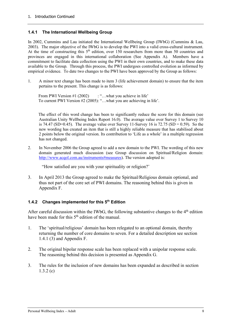#### **1.4.1 The International Wellbeing Group**

In 2002, Cummins and Lau initiated the International Wellbeing Group (IWbG) (Cummins & Lau, 2003). The major objective of the IWbG is to develop the PWI into a valid cross-cultural instrument. At the time of constructing this  $5<sup>th</sup>$  edition, over 150 researchers from more than 50 countries and provinces are engaged in this international collaboration (See Appendix A). Members have a commitment to facilitate data collection using the PWI in their own countries, and to make these data available to the Group. Through this process, the PWI undergoes controlled evolution as informed by empirical evidence. To date two changes to the PWI have been approved by the Group as follows:

1. A minor text change has been made to item 3 (life achievement domain) to ensure that the item pertains to the present. This change is as follows:

From PWI Version #1 (2002) : "...what you achieve in life' To current PWI Version #2 (2005): "…what you are achieving in life'.

The effect of this word change has been to significantly reduce the score for this domain (see Australian Unity Wellbeing Index Report 16.0). The average value over Survey 1 to Survey 10 is 74.47 (SD=0.45). The average value over Survey 11-Survey 16 is 72.75 (SD = 0.59). So the new wording has created an item that is still a highly reliable measure that has stabilised about 2 points below the original version. Its contribution to 'Life as a whole' in a multiple regression has not changed.

2. In November 2006 the Group agreed to add a new domain to the PWI. The wording of this new domain generated much discussion (see Group discussion on Spiritual/Religion domain: http://www.acqol.com.au/instruments#measures). The version adopted is:

"How satisfied are you with your spirituality or religion?¨

3. In April 2013 the Group agreed to make the Spiritual/Religious domain optional, and thus not part of the core set of PWI domains. The reasoning behind this is given in Appendix F.

#### **1.4.2 Changes implemented for this 5th Edition**

After careful discussion within the IWbG, the following substantive changes to the  $4<sup>th</sup>$  edition have been made for this 5<sup>th</sup> edition of the manual

- 1. The 'spiritual/religious' domain has been relegated to an optional domain, thereby returning the number of core domains to seven. For a detailed description see section 1.4.1 (3) and Appendix F.
- 2. The original bipolar response scale has been replaced with a unipolar response scale. The reasoning behind this decision is presented as Appendix G.
- 3. The rules for the inclusion of new domains has been expanded as described in section 1.3.2 (c)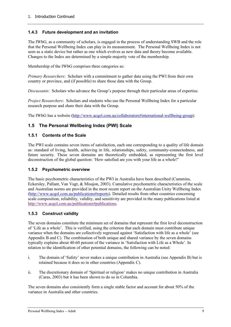#### **1.4.3 Future development and an invitation**

The IWbG, as a community of scholars, is engaged in the process of understanding SWB and the role that the Personal Wellbeing Index can play in its measurement. The Personal Wellbeing Index is not seen as a static device but rather as one which evolves as new data and theory become available. Changes to the Index are determined by a simple majority vote of the membership.

Membership of the IWbG comprises three categories as:

*Primary Researchers*: Scholars with a commitment to gather data using the PWI from their own country or province, and (if possible) to share those data with the Group.

*Discussants*: Scholars who advance the Group's purpose through their particular areas of expertise.

*Project Researchers*: Scholars and students who use the Personal Wellbeing Index for a particular research purpose and share their data with the Group.

The IWbG has a website (http://www.acqol.com.au/collaborators#international-wellbeing-group).

### **1.5 The Personal Wellbeing Index (PWI) Scale**

#### **1.5.1 Contents of the Scale**

The PWI scale contains seven items of satisfaction, each one corresponding to a quality of life domain as: standard of living, health, achieving in life, relationships, safety, community-connectedness, and future security. These seven domains are theoretically embedded, as representing the first level deconstruction of the global question: 'How satisfied are you with your life as a whole?'

#### **1.5.2 Psychometric overview**

The basic psychometric characteristics of the PWI in Australia have been described (Cummins, Eckersley, Pallant, Van Vugt, & Misajon, 2003). Cumulative psychometric characteristics of the scale and Australian norms are provided in the most recent report on the Australian Unity Wellbeing Index (http://www.acqol.com.au/publications#reports). Detailed results from other countries concerning scale composition, reliability, validity, and sensitivity are provided in the many publications listed at http://www.acqol.com.au/publications#publications.

#### **1.5.3 Construct validity**

The seven domains constitute the minimum set of domains that represent the first level deconstruction of 'Life as a whole'. This is verified, using the criterion that each domain must contribute unique variance when the domains are collectively regressed against 'Satisfaction with life as a whole' (see Appendix B and C). The combination of both unique and shared variance by the seven domains typically explains about 40-60 percent of the variance in 'Satisfaction with Life as a Whole'. In relation to the identification of other potential domains, the following can be noted:

- i. The domain of 'Safety' never makes a unique contribution in Australia (see Appendix B) but is retained because it does so in other countries (Appendix C).
- ii. The discretionary domain of 'Spiritual or religion' makes no unique contribution in Australia (Caras, 2003) but it has been shown to do so in Columbia.

The seven domains also consistently form a single stable factor and account for about 50% of the variance in Australia and other countries.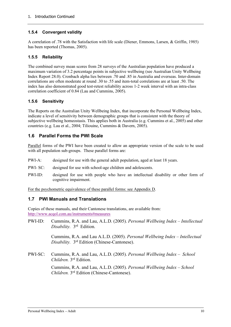#### **1.5.4 Convergent validity**

A correlation of .78 with the Satisfaction with life scale (Diener, Emmons, Larsen, & Griffin, 1985) has been reported (Thomas, 2005).

#### **1.5.5 Reliability**

The combined survey mean scores from 28 surveys of the Australian population have produced a maximum variation of 3.2 percentage points in subjective wellbeing (see Australian Unity Wellbeing Index Report 28.0). Cronbach alpha lies between .70 and .85 in Australia and overseas. Inter-domain correlations are often moderate at round .30 to .55 and item-total correlations are at least .50. The index has also demonstrated good test-retest reliability across 1-2 week interval with an intra-class correlation coefficient of 0.84 (Lau and Cummins, 2005).

#### **1.5.6 Sensitivity**

The Reports on the Australian Unity Wellbeing Index, that incorporate the Personal Wellbeing Index, indicate a level of sensitivity between demographic groups that is consistent with the theory of subjective wellbeing homeostasis. This applies both in Australia (e.g. Cummins et al., 2005) and other countries (e.g. Lau et al., 2004; Tiliouine, Cummins & Davern, 2005).

### **1.6 Parallel Forms the PWI Scale**

Parallel forms of the PWI have been created to allow an appropriate version of the scale to be used with all population sub-groups. These parallel forms are:

- PWI-A: designed for use with the general adult population, aged at least 18 years.
- PWI- SC: designed for use with school-age children and adolescents.
- PWI-ID: designed for use with people who have an intellectual disability or other form of cognitive impairment.

For the psychometric equivalence of these parallel forms: see Appendix D.

#### **1.7 PWI Manuals and Translations**

Copies of these manuals, and their Cantonese translations, are available from: http://www.acqol.com.au/instruments#measures

PWI-ID: Cummins, R.A. and Lau, A.L.D. (2005). *Personal Wellbeing Index – Intellectual Disability.* 3rd Edition.

> Cummins, R.A. and Lau A.L.D. (2005). *Personal Wellbeing Index – Intellectual Disability.* 3rd Edition (Chinese-Cantonese).

PWI-SC: Cummins, R.A. and Lau, A.L.D. (2005). *Personal Wellbeing Index – School Children.* 3rd Edition.

> Cummins, R.A. and Lau, A.L.D. (2005). *Personal Wellbeing Index – School Children.* 3rd Edition (Chinese-Cantonese).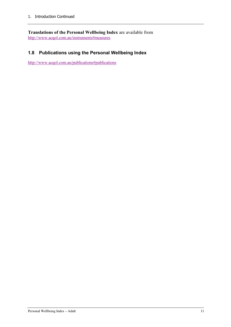**Translations of the Personal Wellbeing Index** are available from http://www.acqol.com.au/instruments#measures

## **1.8 Publications using the Personal Wellbeing Index**

http://www.acqol.com.au/publications#publications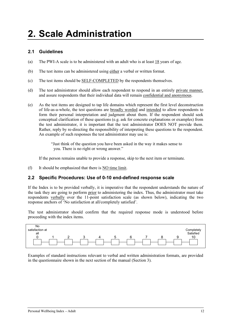# **2. Scale Administration**

## **2.1 Guidelines**

- (a) The PWI-A scale is to be administered with an adult who is at least 18 years of age.
- (b) The test items can be administered using either a verbal or written format.
- (c) The test items should be SELF-COMPLETED by the respondents themselves.
- (d) The test administrator should allow each respondent to respond in an entirely private manner, and assure respondents that their individual data will remain confidential and anonymous.
- (e) As the test items are designed to tap life domains which represent the first level deconstruction of life-as-a-whole, the test questions are broadly worded and intended to allow respondents to form their personal interpretation and judgment about them. If the respondent should seek conceptual clarification of these questions (e.g. ask for concrete explanations or examples) from the test administrator, it is important that the test administrator DOES NOT provide them. Rather, reply by re-directing the responsibility of interpreting these questions to the respondent. An example of such responses the test administrator may use is:

"Just think of the question you have been asked in the way it makes sense to you. There is no right or wrong answer."

If the person remains unable to provide a response, skip to the next item or terminate.

(f) It should be emphasized that there is NO time limit.

#### **2.2 Specific Procedures: Use of 0-10 end-defined response scale**

If the Index is to be provided verbally, it is imperative that the respondent understands the nature of the task they are going to perform prior to administering the index. Thus, the administrator must take respondents verbally over the 11-point satisfaction scale (as shown below), indicating the two response anchors of 'No satisfaction at all/completely satisfied'.

The test administrator should confirm that the required response mode is understood before proceeding with the index items.



Examples of standard instructions relevant to verbal and written administration formats, are provided in the questionnaire shown in the next section of the manual (Section 3).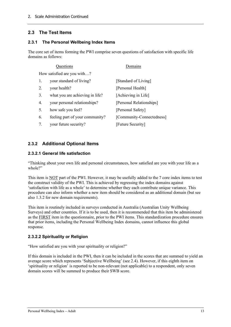## **2.3 The Test Items**

#### **2.3.1 The Personal Wellbeing Index Items**

The core set of items forming the PWI comprise seven questions of satisfaction with specific life domains as follows:

|    | Questions                       | Domains                   |
|----|---------------------------------|---------------------------|
|    | How satisfied are you with?     |                           |
| 1. | your standard of living?        | [Standard of Living]      |
| 2. | your health?                    | [Personal Health]         |
| 3. | what you are achieving in life? | [Achieving in Life]       |
| 4. | your personal relationships?    | [Personal Relationships]  |
| 5. | how safe you feel?              | [Personal Safety]         |
| 6. | feeling part of your community? | [Community-Connectedness] |
| 7. | your future security?           | [Future Security]         |

### **2.3.2 Additional Optional Items**

#### **2.3.2.1 General life satisfaction**

"Thinking about your own life and personal circumstances, how satisfied are you with your life as a whole?"

This item is NOT part of the PWI. However, it may be usefully added to the 7 core index items to test the construct validity of the PWI. This is achieved by regressing the index domains against 'satisfaction with life as a whole' to determine whether they each contribute unique variance. This procedure can also inform whether a new item should be considered as an additional domain (but see also 1.3.2 for new domain requirements).

This item is routinely included in surveys conducted in Australia (Australian Unity Wellbeing Surveys) and other countries. If it is to be used, then it is recommended that this item be administered as the FIRST item in the questionnaire, prior to the PWI items. This standardization procedure ensures that prior items, including the Personal Wellbeing Index domains, cannot influence this global response.

#### **2.3.2.2 Spirituality or Religion**

"How satisfied are you with your spirituality or religion?"

If this domain is included in the PWI, then it can be included in the scores that are summed to yield an average score which represents 'Subjective Wellbeing' (see 2.4). However, if this eighth item on 'spirituality or religion' is reported to be non-relevant (not applicable) to a respondent, only seven domain scores will be summed to produce their SWB score.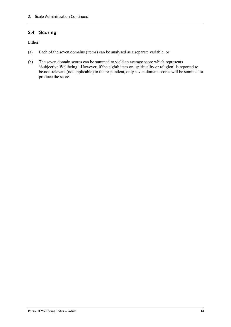## **2.4 Scoring**

Either:

- (a) Each of the seven domains (items) can be analysed as a separate variable, or
- (b) The seven domain scores can be summed to yield an average score which represents 'Subjective Wellbeing'. However, if the eighth item on 'spirituality or religion' is reported to be non-relevant (not applicable) to the respondent, only seven domain scores will be summed to produce the score.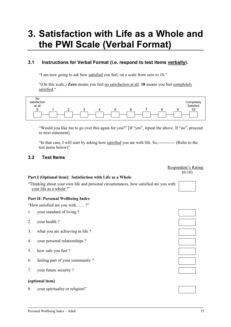# **3. Satisfaction with Life as a Whole and the PWI Scale (Verbal Format)**

## **3.1 Instructions for Verbal Format (i.e. respond to test items verbally).**

"I am now going to ask how satisfied you feel, on a scale from zero to 10."

"(On this scale,) **Zero** means you feel no satisfaction at all. **10** means you feel completely satisfied."



"Would you like me to go over this again for you?" [If "yes", repeat the above. If "no", proceed to next statement]

"In that case, I will start by asking how satisfied you are with life. So,------------ (Refer to the test items below)"

#### **3.2 Test Items**

Respondent's Rating  $(0-10)$ 

#### **Part I (Optional item]: Satisfaction with Life as a Whole**

"Thinking about your own life and personal circumstances, how satisfied are you with your life as a whole ?"

#### **Part II: Personal Wellbeing Index**

"How satisfied are you with…… ?"

- 1. your standard of living ?
- 2. your health ?
- 3. what you are achieving in life ?
- 4. your personal relationships ?
- 5. how safe you feel ?
- 6. feeling part of your community ?
- 7. your future security ?

#### **[optional item]**

8. your spirituality or religion?"

|                                              | the contract of the contract of the contract of the contract of the contract of |  |
|----------------------------------------------|---------------------------------------------------------------------------------|--|
|                                              |                                                                                 |  |
|                                              |                                                                                 |  |
|                                              |                                                                                 |  |
|                                              |                                                                                 |  |
|                                              |                                                                                 |  |
|                                              |                                                                                 |  |
|                                              |                                                                                 |  |
|                                              |                                                                                 |  |
|                                              |                                                                                 |  |
|                                              |                                                                                 |  |
| the control of the control of the control of |                                                                                 |  |
|                                              |                                                                                 |  |
|                                              |                                                                                 |  |

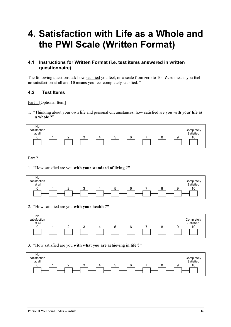# **4. Satisfaction with Life as a Whole and the PWI Scale (Written Format)**

### **4.1 Instructions for Written Format (i.e. test items answered in written questionnaire)**

The following questions ask how satisfied you feel, on a scale from zero to 10. **Zero** means you feel no satisfaction at all and **10** means you feel completely satisfied. "

#### **4.2 Test Items**

Part 1 [Optional Item]

1. "Thinking about your own life and personal circumstances, how satisfied are you **with your life as a whole ?"**

| No<br>satisfaction<br>at all |  |  |  |  | Completely<br>Satisfied |
|------------------------------|--|--|--|--|-------------------------|
|                              |  |  |  |  | 10                      |
|                              |  |  |  |  |                         |

#### Part 2

1. "How satisfied are you **with your standard of living ?"**



#### 2. "How satisfied are you **with your health ?"**



#### 3. "How satisfied are you **with what you are achieving in life ?"**

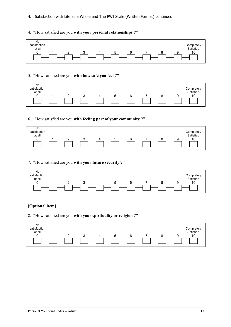- 4. Satisfaction with Life as a Whole and The PWI Scale (Written Format) continued
- 4. "How satisfied are you **with your personal relationships ?"**



#### 5. "How satisfied are you **with how safe you feel ?"**



#### 6. "How satisfied are you **with feeling part of your community ?"**

| No<br>satisfaction<br>at all |  |   |  |  | Completely<br>Satisfied |
|------------------------------|--|---|--|--|-------------------------|
|                              |  | ↵ |  |  | 10                      |
|                              |  |   |  |  |                         |

#### 7. "How satisfied are you **with your future security ?"**



#### **[Optional item]**

8. "How satisfied are you **with your spirituality or religion ?"**

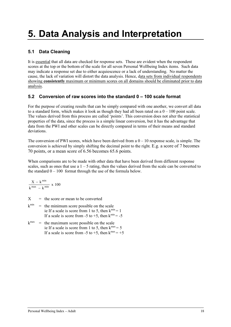# **5. Data Analysis and Interpretation**

## **5.1 Data Cleaning**

It is essential that all data are checked for response sets. These are evident when the respondent scores at the top or the bottom of the scale for all seven Personal Wellbeing Index items. Such data may indicate a response set due to either acquiescence or a lack of understanding. No matter the cause, the lack of variation will distort the data analysis. Hence, data sets from individual respondents showing **consistently** maximum or minimum scores on all domains should be eliminated prior to data analysis.

### **5.2 Conversion of raw scores into the standard 0 – 100 scale format**

For the purpose of creating results that can be simply compared with one another, we convert all data to a standard form, which makes it look as though they had all been rated on a  $0 - 100$  point scale. The values derived from this process are called 'points'. This conversion does not alter the statistical properties of the data, since the process is a simple linear conversion, but it has the advantage that data from the PWI and other scales can be directly compared in terms of their means and standard deviations.

The conversion of PWI scores, which have been derived from a  $0 - 10$  response scale, is simple. The conversion is achieved by simply shifting the decimal point to the right. E.g. a score of 7 becomes 70 points, or a mean score of 6.56 becomes 65.6 points.

When comparisons are to be made with other data that have been derived from different response scales, such as ones that use a  $1 - 5$  rating, then the values derived from the scale can be converted to the standard  $0 - 100$  format through the use of the formula below.

$$
\frac{X\,-\,k^{\,min}}{k^{\,max}\,-\,k^{\,min}}\,\,x\,\,100
$$

 $X =$  the score or mean to be converted

- $k^{\text{min}}$  = the minimum score possible on the scale ie If a scale is score from 1 to 5, then  $k^{min} = 1$ If a scale is score from -5 to +5, then  $k^{\text{min}} = -5$
- $k^{max}$  = the maximum score possible on the scale ie If a scale is score from 1 to 5, then  $k^{max} = 5$ If a scale is score from -5 to +5, then  $k^{max} = +5$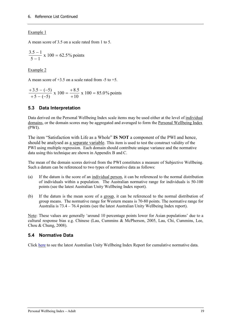#### Example 1

A mean score of 3.5 on a scale rated from 1 to 5.

 $\frac{3.5-1}{5-1} \times 100 = 62.5\%$  points

Example 2

A mean score of  $+3.5$  on a scale rated from -5 to  $+5$ .

$$
\frac{+3.5 - (-5)}{+5 - (-5)} \times 100 = \frac{+8.5}{+10} \times 100 = 85.0\% \text{ points}
$$

### **5.3 Data Interpretation**

Data derived on the Personal Wellbeing Index scale items may be used either at the level of individual domains, or the domain scores may be aggregated and averaged to form the Personal Wellbeing Index (PWI).

The item "Satisfaction with Life as a Whole" **IS NOT** a component of the PWI and hence, should be analysed as a separate variable. This item is used to test the construct validity of the PWI using multiple regression. Each domain should contribute unique variance and the normative data using this technique are shown in Appendix B and C.

The mean of the domain scores derived from the PWI constitutes a measure of Subjective Wellbeing. Such a datum can be referenced to two types of normative data as follows:

- (a) If the datum is the score of an individual person, it can be referenced to the normal distribution of individuals within a population. The Australian normative range for individuals is 50-100 points (see the latest Australian Unity Wellbeing Index report).
- (b) If the datum is the mean score of a group, it can be referenced to the normal distribution of group means. The normative range for Western means is 70-80 points. The normative range for Australia is 73.4 – 76.4 points (see the latest Australian Unity Wellbeing Index report).

Note: These values are generally 'around 10 percentage points lower for Asian populations' due to a cultural response bias e.g. Chinese (Lau, Cummins & McPherson, 2005, Lau, Chi, Cummins, Lee, Chou & Chung, 2008).

#### **5.4 Normative Data**

Click here to see the latest Australian Unity Wellbeing Index Report for cumulative normative data.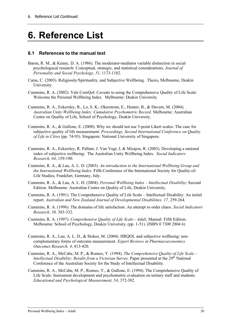# **6. Reference List**

#### **6.1 References to the manual text**

- Baron, R. M., & Kenny, D. A. (1986). The moderator-mediator variable distinction in social psychologucal research: Conceptual, strategic, and statistical considerations. *Journal of Personality and Social Psychology, 51*, 1173-1182.
- Caras, C. (2003). Religiosity/Spirituality, and Subjective Wellbeing. Thesis, Melbourne, Deakin University.
- Cummins, R. A. (2002). Vale ComQol: Caveats to using the Comprehensive Quality of Life Scale: Welcome the Personal Wellbeing Index. Melbourne: Deakin University
- Cummins, R. A., Eckersley, R., Lo, S. K., Okerstrom, E., Hunter, B., & Davern, M. (2004). *Australian Unity Wellbeing Index: Cumulative Psychometric Record.* Melbourne: Australian Centre on Quality of Life, School of Psychology, Deakin University.
- Cummins, R. A., & Gullone, E. (2000). Why we should not use 5-point Likert scales: The case for subjective quality of life measurement. *Proceedings, Second International Conference on Quality of Life in Cities* (pp. 74-93). Singapore: National University of Singapore.
- Cummins, R. A., Eckersley, R. Pallant, J. Van Vugt, J, & Misajon, R. (2003). Developing a national index of subjective wellbeing: The Australian Unity Wellbeing Index. *Social Indicators Research, 64*, 159-190.
- Cummins, R. A., & Lau, A. L. D. (2003). *An introduction to the International Wellbeing Group and the International Wellbeing Index*. Fifth Conference of the International Society for Quality-of-Life Studies, Frankfurt, Germany, July.
- Cummins, R. A., & Lau, A. L. D. (2004). *Personal Wellbeing Index – Intellectual Disability*: Second Edition. Melbourne: Australian Centre on Quality of Life, Deakin University.
- Cummins, R. A. (1991). The Comprehensive Quality of Life Scale Intellectual Disability: An initial report. *Australian and New Zealand Journal of Developmental Disabilities, 17, 259-264.*
- Cummins, R. A. (1996). The domains of life satisfaction: An attempt to order chaos. *Social Indicators Research, 38,* 303-332.
- Cummins, R. A. (1997). *Comprehensive Quality of Life Scale - Adult*. Manual: Fifth Edition. Melbourne: School of Psychology, Deakin University, (pp. 1-51). (ISBN 0 7300 2804 6)
- Cummins, R. A., Lau, A. L. D., & Stokes, M. (2004). HRQOL and subjective wellbeing: noncomplementary forms of outcome measurement. *Expert Reviews in Pharmacoeconomics Outcomes Research, 4*, 413-420.
- Cummins, R. A., McCabe, M. P., & Romeo, Y. (1994). *The Comprehensive Quality of Life Scale – Intellectual Disability: Results from a Victorian Survey.* Paper presented at the 29<sup>th</sup> National Conference of the Australian Society for the Study of Intellectual Disability.
- Cummins, R. A., McCabe, M. P., Romeo, Y., & Gullone, E. (1994). The Comprehensive Quality of Life Scale: Instrument development and psychometric evaluation on tertiary staff and students. *Educational and Psychological Measurement, 54*, 372-382.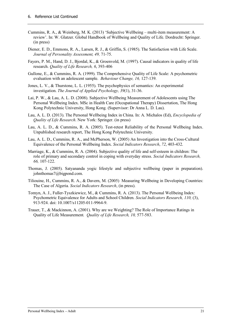- Cummins, R. A., & Weinberg, M. K. (2013) 'Subjective Wellbeing multi-item measurement: A review'. In: W. Glatzer. Global Handbook of Wellbeing and Quality of Life. Dordrecht: Springer. (in press)
- Diener, E. D., Emmons, R. A., Larsen, R. J., & Griffin, S. (1985). The Satisfaction with Life Scale. *Journal of Personality Assessment, 49,* 71-75.
- Fayers, P. M., Hand, D. J., Bjordal, K., & Groenvold, M. (1997). Causal indicators in quality of life research. *Quality of Life Research, 6*, 393-406
- Gullone, E., & Cummins, R. A. (1999). The Comprehensive Quality of Life Scale: A psychometric evaluation with an adolescent sample. *Behaviour Change, 16,* 127-139.
- Jones, L. V., & Thurstone, L. L. (1955). The psychophysics of semantics: An experimental investigation. *The Journal of Applied Psychology, 39*(1), 31-36.
- Lai, P. W., & Lau, A. L. D. (2008). Subjective Wellbeing Measurement of Adolescents using The Personal Wellbeing Index. MSc in Health Care (Occupational Therapy) Dissertation, The Hong Kong Polytechnic University, Hong Kong. (Supervisor: Dr Anna L. D. Lau).
- Lau, A. L. D. (2013). The Personal Wellbeing Index in China. In: A. Michalos (Ed), *Encyclopedia of Quality of Life Research*. New York: Springer. (in press)
- Lau, A. L. D., & Cummins, R. A. (2005). Test-retest Reliability of the Personal Wellbeing Index. Unpublished research report, The Hong Kong Polytechnic University.
- Lau, A. L. D., Cummins, R. A., and McPherson, W. (2005) An Investigation into the Cross-Cultural Equivalence of the Personal Wellbeing Index. *Social Indicators Research*, *72*, 403-432.
- Marriage, K., & Cummins, R. A. (2004). Subjective quality of life and self-esteem in children: The role of primary and secondary control in coping with everyday stress. *Social Indicators Research, 66,* 107-122.
- Thomas, J. (2005). Satyananda yogic lifestyle and subjective wellbeing (paper in preparation). johnthomas7@bigpond.com.
- Tiliouine, H., Cummins, R. A., & Davern, M. (2005) Measuring Wellbeing in Developing Countries: The Case of Algeria*. Social Indicators Research*, (in press).
- Tomyn, A. J., Fuller-Tyszkiewicz, M., & Cummins, R. A. (2013). The Personal Wellbeing Index: Psychometric Equivalence for Adults and School Children. *Social Indicators Research, 110,* (3), 913-924. doi: 10.1007/s11205-011-9964-9.
- Trauer, T., & Mackinnon, A. (2001). Why are we Weighting? The Role of Importance Ratings in Quality of Life Measurement*. Quality of Life Research, 10,* 577-583.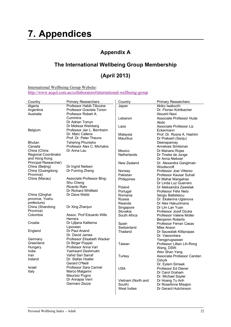# **7. Appendices**

# **Appendix A**

# **The International Wellbeing Group Membership**

# **(April 2013)**

International Wellbeing Group Website:

http://www.acqol.com.au/collaborators#international-wellbeing-group

| Country                     | <b>Primary Researchers</b>        | Country              | <b>Primary Researchers</b>                |
|-----------------------------|-----------------------------------|----------------------|-------------------------------------------|
| Algeria                     | Professor Habib Tiliouine         | Japan                | Akiko Iwabuchi                            |
| Argentina                   | Professor Graciela Tonon          |                      | Dr. Florian Kohlbacher                    |
| Australia                   | Professor Robert A.               |                      | Atsushi Naoi                              |
|                             | Cummins                           | Lebanon              | Associate Professor Huda                  |
|                             | Dr Adrian Tomyn                   |                      | Abdo                                      |
|                             | Dr Melissa Weinberg               | Laos                 | Associate Professor Liz                   |
| Belgium                     | Professor Jan L. Bernheim         |                      | Eckermann                                 |
|                             | Dr. Marc Callens                  | Malaysia             | Prof. Dr. Rosna A. Hashim                 |
|                             | Prof. Dr. Peter Theuns            | <b>Mauritius</b>     | Dr Prakash (Sanju)                        |
| <b>Bhutan</b>               | <b>Tshering Phuntsho</b>          |                      | Deenapanray                               |
| Canada                      | Professor Alex C. Michalos        |                      | Anneloes Smitsman                         |
| China (China                | Dr Anna Lau                       | Mexico               | Dr Mariano Rojas                          |
| <b>Regional Coordinator</b> |                                   | <b>Netherlands</b>   | Dr Tineke de Jonge                        |
| and Hong Kong               |                                   |                      | Dr Anna Nieboer                           |
| Principal Researcher)       |                                   | New Zealand          | Dr. Alexandra Ganglmair-                  |
| China (Beijing)             | Dr Ingrid Neilsen                 |                      | Wooliscroft                               |
| China (Guangdong            | Dr Fuming Zheng                   | Norway               | Professor Joar Vitterso                   |
| Province)                   |                                   | Pakistan             | Professor Kausar Suhail                   |
| China (Macau)               | Associate Professor Bing-         | Philippines          | Dr Mahar Mangahas                         |
|                             | Shu Cheng                         |                      | Dr Linda Luz Guerrero                     |
|                             | Ricardo Rato                      | Poland               | Dr Aleksandra Zawislak                    |
|                             | Dr Richard Whitfield              | Portugal             | Professor Félix Neto                      |
| China (Qinghai              | Dr Dave Webb                      | Romania              | Sergiu Baltatescu                         |
| province, Yushu             |                                   | Russia               | Dr. Ekaterina Uglanova                    |
| prefecture)                 |                                   | Rwanda               | Dr Alex Hakuzimana                        |
| China (Shandong             | Dr Xing Zhanjun                   | Singapore            | Dr Lim Lan Yuan                           |
| Province)                   |                                   | Slovakia             | Professor Jozef Dzuka                     |
| Columbia                    | Assoc. Prof Eduardo Wills         | South Africa         | Professor Valerie Moller                  |
|                             | Herrera                           |                      | <b>Benjamin Roberts</b>                   |
| Croatia                     | Dr Ljiljana Kaliterna             |                      | Professor Ferran Casas                    |
|                             | Lipovean                          | Spain<br>Switzerland |                                           |
| England                     | Dr Paul Anand                     | Thailand             | Mike Anson                                |
|                             | Dr. David James                   |                      | Dr Sauwalak Kittiprapas<br>Dr. Vasoontara |
| Germany                     | <b>Professor Elisabeth Wacker</b> |                      | Yiengprugsawan                            |
| Greenland                   | Dr Birger Poppel                  | Taiwan               |                                           |
| Hungary                     | Professor Anna Vari               |                      | Professor Lillian Lih-Rong                |
| India                       | Yashwant Deshmukh                 |                      | Wang, DSW.<br>Wen Shan Yang               |
| Iran                        | Vahid Sari Sarraf                 |                      |                                           |
| Ireland                     | Dr. Stefan Hoefer                 | Turkey               | Associate Professor Candan                |
|                             | Gerard O'Neill                    |                      | Ozturk                                    |
| Israel                      | Professor Sara Carmel             |                      | Dr. Eylem Simsek                          |
| Italy                       | Marco Malgarini                   | <b>USA</b>           | Professor Ed Diener                       |
|                             | Maurizio Pugno                    |                      | Dr Carol Graham                           |
|                             | Dr Annapia Verri                  |                      | Dr. Michael Sayler                        |
|                             | Gennaro Zezza                     | Vietnam (North and   | Dr Hoang Tu Anh                           |
|                             |                                   | South)               | Dr RoseAnne Misajon                       |
|                             |                                   | West Indies          | Dr Gerard Hutchinson                      |
|                             |                                   |                      |                                           |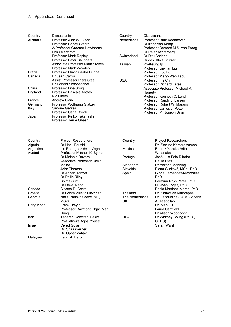## 7. Appendices Continued

| Country   | <b>Discussants</b>              | Country            | <b>Discussants</b>               |
|-----------|---------------------------------|--------------------|----------------------------------|
| Australia | Professor Alan W. Black         | <b>Netherlands</b> | Professor Ruut Veenhoven         |
|           | <b>Professor Sandy Gifford</b>  |                    | Dr Irene van Kamp                |
|           | A/Professor Graeme Hawthorne    |                    | Professor Bernard M.S. van Praag |
|           | Erik Okerstrom                  |                    | Dr Peter Achterberg              |
|           | Professor Mark Rapley           | Switzerland        | Dr Ritu Sadana                   |
|           | <b>Professor Peter Saunders</b> |                    | Dr des. Alois Stutzer            |
|           | Associate Professor Mark Stokes | Taiwan             | Po-Keung Ip                      |
|           | Professor Mark Wooden           |                    | Professor Jin-Tan Liu            |
| Brazil    | Professor Flávio Saliba Cunha   |                    | Professor Luo Lu                 |
| Canada    | Dr Jean Caron                   |                    | Professor Meng-Wen Tsou          |
|           | Assist Professor Piers Steel    | <b>USA</b>         | Professor Iris Chi               |
|           | Dr Donald Schopflocher          |                    | <b>Professor Richard Estes</b>   |
| China     | Professor Lina Song             |                    | Associate Professor Michael R.   |
| England   | Professor Pascale Allotey       |                    | Hagerty                          |
|           | Nic Marks                       |                    | Professor Kenneth C. Land        |
| France    | <b>Andrew Clark</b>             |                    | Professor Randy J. Larsen        |
| Germany   | Professor Wolfgang Glatzer      |                    | Professor Robert W. Marans       |
| Italy     | Simone Gerzeli                  |                    | Professor James J. Potter        |
|           | Professor Carla Rondi           |                    | Professor M. Joseph Sirgy        |
| Japan     | Professor Keiko Takahashi       |                    |                                  |
|           | Professor Terue Ohashi          |                    |                                  |

| Country   | <b>Project Researchers</b>  | Country         | <b>Project Researchers</b>   |
|-----------|-----------------------------|-----------------|------------------------------|
| Algeria   | Dr Nabil Bouzid             |                 | Dr. Sazlina Kamaralzaman     |
| Argentina | Lia Rodriguez de la Vega    | Mexico          | Beatriz Yasuko Arita         |
| Australia | Professor Mitchell K. Byrne |                 | Watanabe                     |
|           | Dr Melanie Davern           | Portugal        | José Luis Pais-Ribeiro       |
|           | Associate Professor David   |                 | Paulo Dias                   |
|           | Mellor                      | Singapore       | Dr Victoria Manning          |
|           | John Thomas                 | Slovakia        | Elena Gurková, MSc., PhD.    |
|           | Dr Adrian Tomyn             | Spain           | Gloria Fernandez-Mayoralas,  |
|           | Dr Philip Riley             |                 | PhD.                         |
|           | Shima Sum                   |                 | Fermina Rojo-Perez, PhD      |
|           | Dr Dave Webb                |                 | M. João Forjaz, PhD          |
| Canada    | Silvana D. Costa            |                 | Pablo Martinez-Martin, PhD   |
| Croatia   | Dr Gorka Vuletic Mavrinac   | Thailand        | Dr. Sauwalak Kittiprapas     |
| Georgia   | Natia Partskhaladze, MD,    | The Netherlands | Dr. Jacqueline J.A.M. Schenk |
|           | <b>MSW</b>                  | UK.             | A. Asadollahi                |
| Hong Kong | Frank Ho-yin                |                 | Dr. Mark Jit                 |
|           | Professor Raymond Ngan Man  |                 | Laura Camfield               |
|           | Hung                        |                 | Dr Alison Woodcock           |
| Iran      | Tahereh Golestani Bakht     | <b>USA</b>      | Dr Whitney Boling (Ph.D.,    |
|           | Prof. Alireza Agha Yousefi  |                 | CHES)                        |
| Israel    | Vered Golan                 |                 | Sarah Walsh                  |
|           | Dr. Shirli Werner           |                 |                              |
|           | Dr. Opher Zahavi            |                 |                              |
| Malaysia  | Fatimah Haron               |                 |                              |
|           |                             |                 |                              |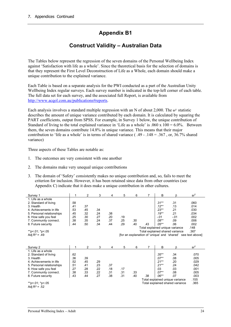# **Appendix B1**

## **Construct Validity – Australian Data**

The Tables below represent the regression of the seven domains of the Personal Wellbeing Index against 'Satisfaction with life as a whole'. Since the theoretical basis for the selection of domains is that they represent the First Level Deconstruction of Life as a Whole, each domain should make a unique contribution to the explained variance.

Each Table is based on a separate analysis for the PWI conducted as a part of the Australian Unity Wellbeing Index regular surveys. Each survey number is indicated in the top-left corner of each table. The full data set for each survey, and the associated full Report, is available from http://www.acqol.com.au/publications#reports.

Each analysis involves a standard multiple regression with an N of about 2,000. The  $sr^2$  statistic describes the amount of unique variance contributed by each domain. It is calculated by squaring the PART coefficients, output from SPSS. For example, in Survey 1 below, the unique contribution of Standard of living to the total explained variance in 'Life as a whole' is  $.060 \times 100 = 6.0\%$ . Between them, the seven domains contribute 14.8% in unique variance. This means that their major contribution to 'life as a whole' is in terms of shared variance ( $.49 - .148 = .367$ , or,  $36.7\%$  shared variance)

Three aspects of these Tables are notable as:

- 1. The outcomes are very consistent with one another
- 2. The domains make very unequal unique contributions
- 3. The domain of 'Safety' consistently makes no unique contribution and, so, fails to meet the criterion for inclusion. However, it has been retained since data from other countries (see Appendix C) indicate that it does make a unique contribution in other cultures.

| Survey 1                                                                        | 1                                       | 2              | 3   | 4   | 5   | 6   | 7              | В        | ß                               | sr <sup>2</sup> |
|---------------------------------------------------------------------------------|-----------------------------------------|----------------|-----|-----|-----|-----|----------------|----------|---------------------------------|-----------------|
| 1. Life as a whole                                                              |                                         |                |     |     |     |     |                |          |                                 |                 |
| 2. Standard of living                                                           | .58                                     |                |     |     |     |     |                | $.31***$ | .31                             | .060            |
| 3. Health                                                                       | .41                                     | .37            |     |     |     |     |                | $.12***$ | .13                             | .014            |
| 4. Achievements in life                                                         | .53                                     | .45            | .34 |     |     |     |                | $.23**$  | .21                             | .030            |
| 5. Personal relationships                                                       | .45                                     | .32            | .24 | .38 |     |     |                | $.19***$ | .21                             | .034            |
| 6. How safe you feel                                                            | .25                                     | .30            | .27 | .20 | .19 |     |                | $-.01$   | $-.01$                          | .002            |
| 7. Community connect.                                                           | .38                                     | .35            | .24 | .37 | .25 | .30 |                | $.08**$  | .09                             | .006            |
| 8. Future security                                                              | .44                                     | .50            | .34 | .44 | .29 | .40 | .43            | $.05***$ | .06                             | .002            |
|                                                                                 | .148<br>Total explained unique variance |                |     |     |     |     |                |          |                                 |                 |
| **p <. 01; *p <. 05                                                             |                                         |                |     |     |     |     |                |          | Total explained shared variance | .367            |
| Adj $R^2$ = .49<br>[for an explanation of 'unique' and 'shared' see text above] |                                         |                |     |     |     |     |                |          |                                 |                 |
|                                                                                 |                                         |                |     |     |     |     |                |          |                                 |                 |
|                                                                                 |                                         |                |     |     |     |     |                |          |                                 |                 |
| Survey 2                                                                        | 1                                       | $\overline{2}$ | 3   | 4   | 5   | 6   | $\overline{7}$ | B        | ß                               | sr <sup>2</sup> |
| 1. Life as a whole                                                              |                                         |                |     |     |     |     |                |          |                                 |                 |
| 2. Standard of living                                                           | .62                                     |                |     |     |     |     |                | $.35***$ | .34                             | .070            |
| 3. Health                                                                       | .36                                     | .39            |     |     |     |     |                | $.07**$  | .08                             | .005            |
| 4. Achievements in life                                                         | .52                                     | .45            | .29 |     |     |     |                | $.21***$ | .20                             | .029            |
| 5. Personal relationships                                                       | .51                                     | .41            | .23 | .37 |     |     |                | $.21***$ | .24                             | .042            |
| 6. How safe you feel                                                            | .27                                     | .28            | .22 | .18 | .17 |     |                | .03      | .03                             | .001            |
| 7. Community connect.                                                           | .38                                     | .33            | .22 | .31 | .31 | .33 |                | $.07**$  | .08                             | .005            |
| 8. Future security                                                              | .43                                     | .44            | .27 | .38 | .31 | .40 | .38            | $.06**$  | .07                             | .003            |
|                                                                                 |                                         |                |     |     |     |     |                |          | Total explained unique variance | .155            |
| **p<.01; *p<.05                                                                 |                                         |                |     |     |     |     |                |          | Total explained shared variance | .365            |
| Adj $R^2 = .52$                                                                 |                                         |                |     |     |     |     |                |          |                                 |                 |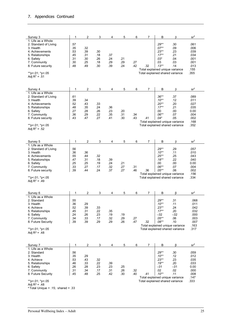| Survey 3                                                                    | 1                 | 2          | 3          | 4          | 5          | 6          | 7                                                                  | в                             | ß                                                                  | $\mbox{sr}^2$        |
|-----------------------------------------------------------------------------|-------------------|------------|------------|------------|------------|------------|--------------------------------------------------------------------|-------------------------------|--------------------------------------------------------------------|----------------------|
| 1. Life as a Whole<br>2. Standard of Living<br>3. Health<br>4. Achievements | .57<br>.35<br>.53 | .32<br>.39 | .30        |            |            |            |                                                                    | $.29**$<br>$.07**$<br>$.23**$ | .30<br>.09<br>.23                                                  | .061<br>.006<br>.039 |
| 5. Relationships<br>6. Safety                                               | .45<br>.31        | .31<br>.30 | .18<br>.26 | .37<br>.24 | .21        |            |                                                                    | $.17**$<br>$.03*$             | .21<br>.04                                                         | .034<br>.001         |
| 7. Community<br>8. Future security                                          | .30<br>.48        | .25<br>.49 | .18<br>.30 | .29<br>.39 | .29<br>.24 | .27<br>.42 | .32                                                                | .03<br>$.13***$               | .03<br>.14                                                         | .001<br>.013         |
| **p <. 01; *p <. 05<br>Adj $R^2 = .51$                                      |                   |            |            |            |            |            | Total explained unique variance<br>Total explained shared variance | .155<br>.355                  |                                                                    |                      |
|                                                                             |                   |            |            |            |            |            |                                                                    |                               |                                                                    | sr <sup>2</sup>      |
| Survey 4<br>1. Life as a Whole                                              | 1                 | 2          | 3          | 4          | 5          | 6          | 7                                                                  | В                             | ß                                                                  |                      |
| 2. Standard of Living<br>3. Health                                          | .61<br>.39        | .34        |            |            |            |            |                                                                    | $.36**$<br>$.10**$            | .37<br>.12                                                         | .089<br>.011         |
| 4. Achievements<br>5. Relationships                                         | .52<br>.48        | .43<br>.35 | .33<br>.24 | .36        |            |            |                                                                    | $.20**$<br>$.17***$           | .20<br>.21                                                         | .027<br>.035         |
| 6. Safety<br>7. Community                                                   | .27<br>.36        | .28<br>.29 | .26<br>.22 | .23<br>.35 | .20<br>.31 | .34        |                                                                    | .00<br>$.06**$                | .00<br>.07                                                         | 0.00<br>.004         |
| 8. Future security                                                          | .43               | .47        | .27        | .41        | .30        | .43        | .41                                                                | $.04*$                        | .05                                                                | .002<br>.168         |
| **p<.01; *p<.05<br>Adj $R^2 = .52$                                          |                   |            |            |            |            |            | Total explained shared variance                                    |                               | Total explained unique variance                                    | .352                 |
| Survey 5                                                                    | 1                 | 2          | 3          | 4          | 5          | 6          | 7                                                                  | В                             | β                                                                  | sr <sup>2</sup>      |
| 1. Life as a Whole<br>2. Standard of Living                                 | .56               |            |            |            |            |            |                                                                    | $.29**$                       | .29                                                                | .057                 |
| 3. Health<br>4. Achievements                                                | .36<br>.55        | .36<br>.44 | .32        |            |            |            |                                                                    | $.10**$<br>$.25***$           | .11<br>.25                                                         | .010<br>.043         |
| 5. Relationships                                                            | .47               | .31        | .18        | .39        |            |            |                                                                    | $.18**$                       | .22                                                                | .040                 |
| 6. Safety<br>7. Community                                                   | .25<br>.33        | .25<br>.27 | .19<br>.17 | .24<br>.32 | .21<br>.27 | .31        |                                                                    | .00<br>$.06**$                | .00<br>.07                                                         | 0.00<br>.004         |
| 8. Future security                                                          | .39               | .44        | .24        | .37        | .27        | .46        | .36                                                                | $.05**$                       | .06<br>Total explained unique variance                             | .002<br>.156         |
| **p<.01; *p<.05<br>Adj $R^2$ = .49                                          |                   |            |            |            |            |            | Total explained shared variance                                    |                               |                                                                    | .334                 |
| Survey 6                                                                    | 1                 | 2          | 3          | 4          | 5          | 6          | 7                                                                  | В                             | β                                                                  | sr <sup>2</sup>      |
| 1. Life as a Whole<br>2. Standard                                           | .55               |            |            |            |            |            |                                                                    | $.29**$                       | .31                                                                | .068                 |
| 3. Health                                                                   | .36               | .29        |            |            |            |            |                                                                    | $.10**$                       | .11                                                                | .011                 |
| 4. Achieve<br>5. Relationships                                              | .52<br>.45        | .39<br>.31 | .33<br>.22 | .35        |            |            |                                                                    | $.23**$<br>$.17**$            | .24<br>.20                                                         | .042<br>.032         |
| 6. Safety<br>7. Community                                                   | .24<br>.34        | .26<br>.33 | .23<br>.17 | .19<br>.32 | .19<br>.29 | .27        |                                                                    | $-.02$<br>$.05***$            | $-.02$<br>.06                                                      | .000<br>.003         |
| 8. Future Security                                                          | .39               | .39        | .29        | .29        | .26        | .47        | .32                                                                | $.08**$                       | .10                                                                | .007                 |
| **p <. 01; *p <. 05<br>Adj $R^2$ = .48                                      |                   |            |            |            |            |            |                                                                    |                               | Total explained unique variance<br>Total explained shared variance | .163<br>.317         |
| Survey 7                                                                    | 1                 | 2          | 3          | 4          | 5          | 6          | 7                                                                  | В                             | β                                                                  | sr <sup>2</sup>      |
| 1. Life as a Whole<br>2. Standard                                           | .56               |            |            |            |            |            |                                                                    | $.29**$                       | .30                                                                | .059                 |
| 3. Health                                                                   | .35               | .29        |            |            |            |            |                                                                    | $.10**$                       | .12                                                                | .012                 |
| 4. Achieve<br>5. Relationships                                              | .53<br>.46        | .43<br>.33 | .32<br>.22 | .39        |            |            |                                                                    | $.23**$<br>$.19**$            | .23<br>.20                                                         | .035<br>.033         |
| 6. Safety                                                                   | .26               | .28        | .23        | .23        | .25        |            |                                                                    | $-.01$                        | $-01$                                                              | 0.00                 |
| 7. Community<br>8. Future Security                                          | .31<br>.45        | .34<br>.48 | .17<br>.25 | .31<br>.42 | .26<br>.30 | .32<br>.40 | .41                                                                | .02<br>$.10**$                | .02<br>.11                                                         | .000<br>.008         |
| **p<.01; *p<.05                                                             |                   |            |            |            |            |            | Total explained unique variance<br>Total explained shared variance |                               |                                                                    | .147<br>.333         |
| Adj $R^2$ = .48                                                             |                   |            |            |            |            |            |                                                                    |                               |                                                                    |                      |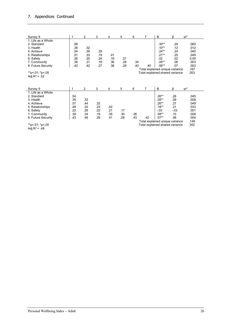### 7. Appendices Continued

| Survey 8            | 1   | 2   | 3   | 4   | 5   | 6   | 7   | B                               | β       | sr <sup>2</sup> |
|---------------------|-----|-----|-----|-----|-----|-----|-----|---------------------------------|---------|-----------------|
| 1. Life as a Whole  |     |     |     |     |     |     |     |                                 |         |                 |
| 2. Standard         | .56 |     |     |     |     |     |     | .30**                           | .29     | .060            |
| 3. Health           | .36 | .32 |     |     |     |     |     | $.10**$                         | .12     | .012            |
| 4. Achieve          | .54 | .39 | .29 |     |     |     |     | .24**                           | .24     | .040            |
| 5. Relationships    | .51 | .33 | .19 | .41 |     |     |     | $.21**$                         | .25     | .049            |
| 6. Safety           | .26 | .25 | .24 | .18 | .21 |     |     | .02                             | .02     | 0.00            |
| 7. Community        | .36 | .31 | .16 | .36 | .28 | .34 |     | $.05***$                        | .06     | .003            |
| 8. Future Security  | .42 | .42 | .27 | .38 | .29 | .43 | .40 | $.06**$                         | .07     | .003            |
|                     |     |     |     |     |     |     |     | Total explained unique variance |         | .167            |
| **p <. 01; *p <. 05 |     |     |     |     |     |     |     | Total explained shared variance |         | .353            |
| Adj $R^2 = .52$     |     |     |     |     |     |     |     |                                 |         |                 |
|                     |     |     |     |     |     |     |     |                                 |         |                 |
|                     |     |     |     |     |     |     |     |                                 |         |                 |
| Survey 9            | 1   | 2   | 3   | 4   | 5   | 6   | 7   | B                               | ß       | sr <sup>2</sup> |
| 1. Life as a Whole  |     |     |     |     |     |     |     |                                 |         |                 |
| 2. Standard         | .54 |     |     |     |     |     |     | $.26**$                         | .26     | .045            |
| 3. Health           | .35 | .32 |     |     |     |     |     | $.08**$                         | .09     | .008            |
| 4. Achieve          | .57 | .44 | .32 |     |     |     |     | $.26**$                         | .27     | .049            |
| 5. Relationships    | .48 | .33 | .23 | .42 |     |     |     | $.18**$                         | .21     | .033            |
| 6. Safety           | .22 | .28 | .22 | .21 | .17 |     |     | $-.03$                          | $-0.03$ | .001            |
| 7. Community        | .39 | .34 | .19 | .35 | .30 | .26 |     | $.08**$                         | .10     | .008            |
| 8. Future Security  | .43 | .48 | .26 | .41 | .28 | .43 | .42 | $.07**$                         | .08     | .004            |
|                     |     |     |     |     |     |     |     | Total explained unique variance |         | .148            |
| **p<.01; *p<.05     |     |     |     |     |     |     |     | Total explained shared variance |         | .342            |

 $P^{5.01}$ ;  $P^{5.01}$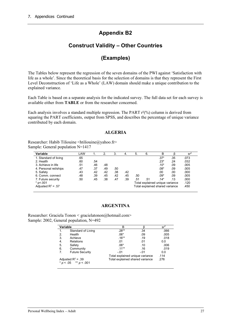## **Appendix B2**

## **Construct Validity – Other Countries**

## **(Examples)**

The Tables below represent the regression of the seven domains of the PWI against 'Satisfaction with life as a whole'. Since the theoretical basis for the selection of domains is that they represent the First Level Deconstruction of 'Life as a Whole' (LAW) domain should make a unique contribution to the explained variance.

Each Table is based on a separate analysis for the indicated survey. The full data set for each survey is available either from **TABLE** or from the researcher concerned.

Each analysis involves a standard multiple regression. The PART  $r^2$ <sup>(%)</sup> column is derived from squaring the PART coefficients, output from SPSS, and describes the percentage of unique variance contributed by each domain.

#### **ALGERIA**

Researcher: Habib Tiliouine <htiliouine@yahoo.fr> Sample: General population N=1417

| Variable              | LAW |     | 2.  | 3.  | 4.  | 5.                              | 6.                              | в      |     | sr <sup>2</sup> |
|-----------------------|-----|-----|-----|-----|-----|---------------------------------|---------------------------------|--------|-----|-----------------|
| 1. Standard of living | .65 |     |     |     |     |                                 |                                 | $.37*$ | .35 | .073            |
| 2. Health             | .60 | .54 |     |     |     |                                 |                                 | $.23*$ | .24 | .032            |
| 3. Achieve in life    | .51 | .46 | .48 |     |     |                                 |                                 | $.10*$ | .09 | .005            |
| 4. Personal rel/ships | .47 | .37 | .49 | .50 |     |                                 |                                 | $.08*$ | .09 | .005            |
| 5. Safety             | .43 | .42 | .42 | .38 | .42 |                                 |                                 | .00    | .00 | .000            |
| 6. Comm. connect      | .48 | .39 | .45 | .42 | .45 | .50                             |                                 | $.09*$ | .09 | .005            |
| 7. Future security    | .50 | .45 | .38 | .47 | .39 | .51                             | .51                             | $.14*$ | .13 | .000            |
| $*$ p<.001            |     |     |     |     |     |                                 | Total explained unique variance | .120   |     |                 |
| Adjusted $R^2$ = .57  |     |     |     |     |     | Total explained shared variance | .450                            |        |     |                 |

#### **ARGENTINA**

Researcher: Graciela Tonon < gracielatonon@hotmail.com> Sample: 2002, General population, N=492

| Variable |                                                   | в                               |                                 | $sr^2$ |  |  |  |
|----------|---------------------------------------------------|---------------------------------|---------------------------------|--------|--|--|--|
|          | Standard of Living                                | $.28**$                         | .34                             | .066   |  |  |  |
| 2.       | Health                                            | $.06*$                          | .09                             | .005   |  |  |  |
| 3.       | Achieve                                           | $.16***$                        | .19                             | .018   |  |  |  |
| 4.       | <b>Relations</b>                                  | .01                             | .01                             | 0.0    |  |  |  |
| 5.       | Safety                                            | $.06*$                          | .10                             | .006   |  |  |  |
| 6.       | Community                                         | $.11***$                        | .16                             | .019   |  |  |  |
| 7.       | <b>Future Security</b>                            | $-.01$                          | $-.01$                          | 0.0    |  |  |  |
|          |                                                   | Total explained unique variance |                                 | .114   |  |  |  |
|          | Adjusted $R^2$ = .39<br>$* p < .05$ ** $p < .001$ |                                 | Total explained shared variance |        |  |  |  |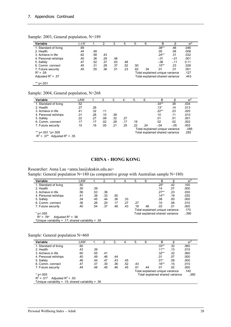| Sample: 2003, General population, N=189 |  |
|-----------------------------------------|--|
|-----------------------------------------|--|

|                       | LAW |     | 2.  | 3.  | -4. | 5.  | 6.                              | B                               |        | sr <sup>2</sup> |
|-----------------------|-----|-----|-----|-----|-----|-----|---------------------------------|---------------------------------|--------|-----------------|
| 1. Standard of living | .69 |     |     |     |     |     |                                 | $.38**$                         | .46    | .046            |
| 2. Health             | .44 | .48 |     |     |     |     |                                 | .05                             | .06    | .008            |
| 3. Achieve in life    | .62 | .58 | .43 |     |     |     |                                 | $.24**$                         | .31    | .032            |
| 4. Personal rel/ships | .40 | .36 | .29 | .48 |     |     |                                 | $-.01$                          | $-.01$ | .001            |
| 5. Safety             | .47 | .52 | .37 | .63 | .48 |     |                                 | $-0.06$                         | $-.11$ | 0.11            |
| 6. Comm. connect      | .45 | .31 | .28 | .37 | .52 | .50 |                                 | $.15***$                        | .23    | .028            |
| 7. Future security    | .45 | .55 | .36 | .51 | .23 | .62 | .34                             | .01                             | .01    | .001            |
| $R^2 = .59$           |     |     |     |     |     |     |                                 | Total explained unique variance |        | .127            |
| Adjusted $R^2$ = .57  |     |     |     |     |     |     | Total explained shared variance | .443                            |        |                 |

Sample: 2004, General population, N=268

| Variable                                                                    | LAW |     | 2.                              | 3.  | -4.                                     | 5.  | 6.  | B        |        | sr <sup>2</sup> |
|-----------------------------------------------------------------------------|-----|-----|---------------------------------|-----|-----------------------------------------|-----|-----|----------|--------|-----------------|
| 1. Standard of living                                                       | .52 |     |                                 |     |                                         |     |     | $.34**$  | .38    | .034            |
| 2. Health                                                                   | .27 | .26 |                                 |     |                                         |     |     | $.13*$   | .14    | .013            |
| 3. Achieve in life                                                          | .41 | .32 | .11                             |     |                                         |     |     | $.22***$ | .23    | .020            |
| 4. Personal rel/ships                                                       | .31 | .26 | .10                             | .38 |                                         |     |     | .10      | .11    | .010            |
| 5. Safety                                                                   | .22 | .27 | .08                             | .32 | .27                                     |     |     | .01      | .01    | .001            |
| 6. Comm. connect                                                            | .17 | .17 | .02                             | .28 | .17                                     | .19 |     | .02      | .02    | .002            |
| 7. Future security                                                          | .10 | .16 | .05                             | .21 | .25                                     | .22 | .24 | $-.04$   | $-0.5$ | .005            |
|                                                                             |     |     | Total explained unique variance |     |                                         |     |     |          | 0.085  |                 |
| ** p<.001 *p<.005<br>$R^2$ = .37 <sup>a</sup> Adjusted R <sup>2</sup> = .35 |     |     |                                 |     | Total explained shared variance<br>.283 |     |     |          |        |                 |

#### **CHINA - HONG KONG**

Researcher: Anna Lau <anna.lau@deakin.edu.au> Sample: General population  $N=180$  (as comparative group with Australian sample  $N=180$ )

| Variable                                                        | LAW                             |     | 2.  | 3.  | 4.  | 5.                              | 6.  | B        |     | sr   |
|-----------------------------------------------------------------|---------------------------------|-----|-----|-----|-----|---------------------------------|-----|----------|-----|------|
| 1. Standard of living                                           | .50                             |     |     |     |     |                                 |     | $.25*$   | .42 | .100 |
| 2. Health                                                       | .30                             | .39 |     |     |     |                                 |     | .14      | .07 | .000 |
| 3. Achieve in life                                              | .56                             | .53 | .36 |     |     |                                 |     | $.27**$  | .23 | .030 |
| 4. Personal rel/ships                                           | .41                             | .38 | .33 | .50 |     |                                 |     | $.14***$ | .19 | .030 |
| 5. Safety                                                       | .34                             | .45 | .44 | .36 | .33 |                                 |     | .08      | .00 | .000 |
| 6. Comm. connect                                                | .36                             | .26 | .20 | .17 | .27 | .27                             |     | .10      | .08 | .010 |
| 7. Future security                                              | .40                             | .54 | .37 | .48 | .43 | .18                             | .46 | .03      | .01 | .000 |
|                                                                 |                                 |     |     |     |     | Total explained unique variance |     |          |     | .170 |
| $*$ p<.005                                                      | Total explained shared variance |     |     |     |     |                                 |     | 390      |     |      |
| $R^2 = .76^a$<br>Adjusted $R^2$ = .56                           |                                 |     |     |     |     |                                 |     |          |     |      |
| <sup>a</sup> Unique variability = .17; shared variability = .39 |                                 |     |     |     |     |                                 |     |          |     |      |

#### Sample: General population N=460

| Variable                                                        | LAW                             |     | 2.  | 3.  | 4.  | 5.                              | 6.   | в        |     | $sr^2$ |
|-----------------------------------------------------------------|---------------------------------|-----|-----|-----|-----|---------------------------------|------|----------|-----|--------|
| 1. Standard of living                                           | .60                             |     |     |     |     |                                 |      | $.33**$  | .32 | .060   |
| 2. Health                                                       | .43                             | .39 |     |     |     |                                 |      | $.11***$ | .13 | .010   |
| 3. Achieve in life                                              | .60                             | .55 | .41 |     |     |                                 |      | $.32**$  | .32 | .060   |
| 4. Personal rel/ships                                           | .40                             | .49 | .46 | .44 |     |                                 |      | .01      | .07 | .000   |
| 5. Safety                                                       | .46                             | .44 | .47 | .43 | .45 |                                 |      | $.01*$   | .09 | .000   |
| 6. Comm. connect                                                | .47                             | .37 | .30 | .36 | .52 | .43                             |      | $.16**$  | .15 | .010   |
| 7. Future security                                              | .44                             | .48 | .45 | .46 | .45 | .61                             | .44  | .01      | .02 | .000   |
|                                                                 |                                 |     |     |     |     | Total explained unique variance | .140 |          |     |        |
| * $p$ < 005                                                     | Total explained shared variance |     |     |     |     |                                 |      | 360      |     |        |
| Adjusted $R^2$ = .50<br>$R^2 = .51^a$                           |                                 |     |     |     |     |                                 |      |          |     |        |
| <sup>a</sup> Unique variability = .15; shared variability = .36 |                                 |     |     |     |     |                                 |      |          |     |        |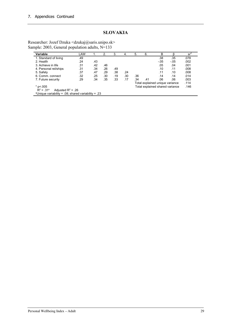## **SLOVAKIA**

Researcher: Jozef Dzuka <dzukaj@saris.unipo.sk> Sample: 2003, General population adults, N=133

| Variable                                                        | LAW |     | 2.  | 3.  | 4.  | 5.  | 6.                              | в      |        | $sr^2$ |
|-----------------------------------------------------------------|-----|-----|-----|-----|-----|-----|---------------------------------|--------|--------|--------|
| 1. Standard of living                                           | .49 |     |     |     |     |     |                                 | .38    | .35    | .078   |
| 2. Health                                                       | .24 | .43 |     |     |     |     |                                 | $-.05$ | $-.05$ | .002   |
| 3. Achieve in life                                              | .31 | .42 | .46 |     |     |     |                                 | .05    | .04    | .001   |
| 4. Personal rel/ships                                           | .31 | .34 | .26 | .49 |     |     |                                 | .10    | .11    | .008   |
| 5. Safety                                                       | .37 | .47 | .29 | .38 | .24 |     |                                 | .11    | .10    | .008   |
| 6. Comm. connect                                                | .32 | .25 | .30 | .19 | .30 | .36 |                                 | .14    | .14    | .014   |
| 7. Future security                                              | .29 | .34 | .35 | .33 | .17 | .34 | .41                             | .06    | .06    | .003   |
|                                                                 |     |     |     |     |     |     | Total explained unique variance | .114   |        |        |
| Total explained shared variance<br>$*$ p<.005                   |     |     |     |     |     |     |                                 | .146   |        |        |
| $R^2 = .31^a$<br>Adjusted $R^2$ = .26                           |     |     |     |     |     |     |                                 |        |        |        |
| <sup>a</sup> Unique variability = .08; shared variability = .23 |     |     |     |     |     |     |                                 |        |        |        |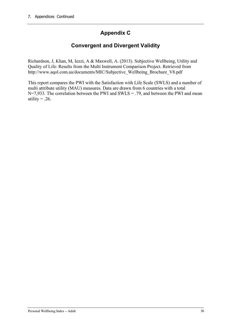# **Appendix C**

# **Convergent and Divergent Validity**

Richardson, J, Khan, M, Iezzi, A & Maxwell, A. (2013). Subjective Wellbeing, Utility and Quality of Life: Results from the Multi Instrument Comparison Project. Retrieved from http://www.aqol.com.au/documents/MIC/Subjective\_Wellbeing\_Brochure\_V8.pdf

This report compares the PWI with the Satisfaction with Life Scale (SWLS) and a number of multi attribute utility (MAU) measures. Data are drawn from 6 countries with a total N=7,933. The correlation between the PWI and SWLS = .79, and between the PWI and mean utility  $= .26$ .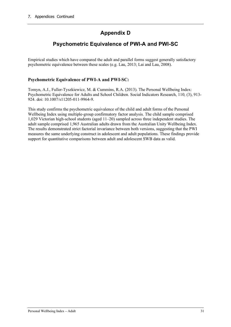# **Appendix D**

# **Psychometric Equivalence of PWI-A and PWI-SC**

Empirical studies which have compared the adult and parallel forms suggest generally satisfactory psychometric equivalence between these scales (e.g. Lau, 2013; Lai and Lau, 2008).

### **Psychometric Equivalence of PWI-A and PWI-SC:**

Tomyn, A.J., Fuller-Tyszkiewicz, M. & Cummins, R.A. (2013). The Personal Wellbeing Index: Psychometric Equivalence for Adults and School Children. Social Indicators Research, 110, (3), 913- 924. doi: 10.1007/s11205-011-9964-9.

This study confirms the psychometric equivalence of the child and adult forms of the Personal Wellbeing Index using multiple-group confirmatory factor analysis. The child sample comprised 1,029 Victorian high-school students (aged 11–20) sampled across three independent studies. The adult sample comprised 1,965 Australian adults drawn from the Australian Unity Wellbeing Index. The results demonstrated strict factorial invariance between both versions, suggesting that the PWI measures the same underlying construct in adolescent and adult populations. These findings provide support for quantitative comparisons between adult and adolescent SWB data as valid.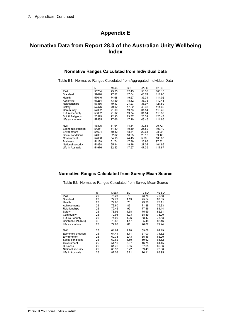# **Appendix E**

## **Normative Data from Report 28.0 of the Australian Unity Wellbeing Index**

#### **Normative Ranges Calculated from Individual Data**

Table E1: Normative Ranges Calculated from Aggregated Individual Data

|                        | N     | Mean  | SD    | $-2$ SD | $+2$ SD |
|------------------------|-------|-------|-------|---------|---------|
| <b>PWI</b>             | 55764 | 75.25 | 12.45 | 50.35   | 100.15  |
| Standard               | 57620 | 77.82 | 17.04 | 43.74   | 111.90  |
| Health                 | 57616 | 74.68 | 19.67 | 35.34   | 114.02  |
| Achieving              | 57284 | 73.59 | 18.42 | 36.75   | 110.43  |
| Relationships          | 57366 | 79.43 | 21.23 | 36.97   | 121.89  |
| Safety                 | 57476 | 79.02 | 17.82 | 43.38   | 114.66  |
| Community              | 57302 | 71.00 | 19.73 | 31.54   | 110.46  |
| <b>Future Security</b> | 56802 | 71.02 | 19.74 | 31.54   | 110.50  |
| Spirit/ Religious      | 20529 | 72.93 | 23.77 | 25.39   | 120.47  |
| Life as a whole        | 57585 | 77.66 | 17.10 | 43.46   | 111.86  |
|                        |       |       |       |         |         |
| <b>NWI</b>             | 48805 | 61.64 | 14.54 | 32.56   | 90.72   |
| Economic situation     | 54251 | 64.39 | 19.40 | 25.59   | 103.19  |
| Environment            | 54694 | 60.32 | 18.84 | 22.64   | 98.00   |
| Social conditions      | 54391 | 62.62 | 18.25 | 26.12   | 99.12   |
| Government             | 52638 | 54.10 | 24.45 | 5.20    | 103.00  |
| <b>Business</b>        | 51139 | 61.74 | 17.89 | 25.96   | 97.52   |
| National security      | 51838 | 65.94 | 19.46 | 27.02   | 104.86  |
| Life in Australia      | 54976 | 82.53 | 17.57 | 47.39   | 117.67  |

#### **Normative Ranges Calculated from Survey Mean Scores**

Table E2: Normative Ranges Calculated from Survey Mean Scores

 $\frac{1}{2}$ 

|                        | N  | Mean  | SD   | -2 SD | $+2$ SD |
|------------------------|----|-------|------|-------|---------|
| <b>PWI</b>             | 26 | 75.23 | .73  | 73.78 | 76.68   |
| Standard               | 26 | 77.79 | 1.13 | 75.54 | 80.05   |
| Health                 | 26 | 74.65 | .73  | 73.20 | 76.11   |
| Achievements           | 26 | 73.60 | .86  | 71.88 | 75.33   |
| Relationships          | 26 | 79.45 | .99  | 77.46 | 81.44   |
| Safety                 | 26 | 78.95 | 1.68 | 75.59 | 82.31   |
| Community              | 26 | 70.94 | 1.03 | 68.89 | 73.00   |
| <b>Future Security</b> | 26 | 71.00 | 1.26 | 68.47 | 73.53   |
| Spiritual (S24-S26)    | 3  | 73.82 | 4.17 | 65.48 | 82.16   |
| Life as a whole        | 26 | 77.63 | .81  | 76.02 | 79.24   |
|                        |    |       |      |       |         |
| <b>NWI</b>             | 25 | 61.64 | 1.28 | 59.08 | 64.19   |
| Economic situation     | 26 | 64.41 | 3.71 | 57.00 | 71.82   |
| Environment            | 26 | 60.33 | 2.43 | 55.46 | 65.20   |
| Social conditions      | 26 | 62.62 | 1.50 | 59.62 | 65.62   |
| Government             | 25 | 54.10 | 3.67 | 46.75 | 61.45   |
| <b>Business</b>        | 25 | 61.75 | 2.05 | 57.65 | 65.86   |
| National security      | 25 | 65.93 | 3.22 | 59.49 | 72.38   |
| Life in Australia      | 26 | 82.53 | 3.21 | 76.11 | 88.95   |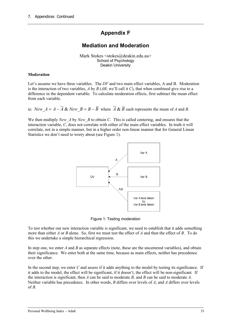## **Appendix F**

## **Mediation and Moderation**

Mark Stokes <stokes@deakin.edu.au> School of Psychology Deakin University

#### **Moderation**

Let's assume we have three variables. The *DV* and two main effect variables, A and B. Moderation is the interaction of two variables, *A* by *B* (*AB*, we'll call it *C*), that when combined give rise to a difference in the dependent variable. To calculate moderation effects, first subtract the mean effect from each variable.

ie:  $New_A = A - \overline{A}$  &  $New_B = B - \overline{B}$  where  $\overline{A}$  &  $\overline{B}$  each represents the mean of *A* and *B*.

We then multiply *New A* by *New B* to obtain *C*. This is called centering, and ensures that the interaction variable, *C*, does not correlate with either of the main effect variables. In truth it will correlate, not in a simple manner, but in a higher order non-linear manner that for General Linear Statistics we don't need to worry about (see Figure 1).



Figure 1: Testing moderation

To test whether our new interaction variable is significant, we need to establish that it adds something more than either *A* or *B* alone. So, first we must test the effect of *A* and then the effect of *B*. To do this we undertake a simple hierarchical regression.

In step one, we enter *A* and *B* as separate effects (note, these are the uncentered variables), and obtain their significance. We enter both at the same time, because as main effects, neither has precedence over the other.

In the second step, we enter *C* and assess if it adds anything to the model by testing its significance. If it adds to the model, the effect will be significant, if it doesn't, the effect will be non-significant. If the interaction is significant, then *A* can be said to moderate *B*, and *B* can be said to moderate *A*. Neither variable has precedence. In other words, *B* differs over levels of *A*, and *A* differs over levels of  $B$ .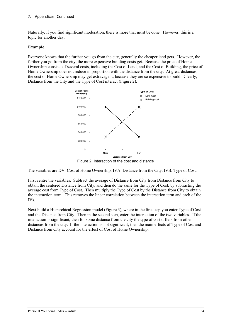Naturally, if you find significant moderation, there is more that must be done. However, this is a topic for another day.

#### **Example**

Everyone knows that the further you go from the city, generally the cheaper land gets. However, the further you go from the city, the more expensive building costs get. Because the price of Home Ownership consists of several costs, including the Cost of Land, and the Cost of Building, the price of Home Ownership does not reduce in proportion with the distance from the city. At great distances, the cost of Home Ownership may get extravagant, because they are so expensive to build. Clearly, Distance from the City and the Type of Cost interact (Figure 2).



The variables are DV: Cost of Home Ownership, IVA: Distance from the City, IVB: Type of Cost.

First centre the variables. Subtract the average of Distance from City from Distance from City to obtain the centered Distance from City, and then do the same for the Type of Cost, by subtracting the average cost from Type of Cost. Then multiply the Type of Cost by the Distance from City to obtain the interaction term. This removes the linear correlation between the interaction term and each of the IVs.

Next build a Hierarchical Regression model (Figure 3), where in the first step you enter Type of Cost and the Distance from City. Then in the second step, enter the interaction of the two variables. If the interaction is significant, then for some distance from the city the type of cost differs from other distances from the city. If the interaction is not significant, then the main effects of Type of Cost and Distance from City account for the effect of Cost of Home Ownership.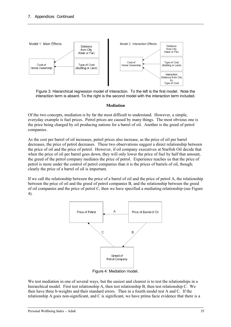

Figure 3: Hierarchical regression model of Interaction. To the left is the first model. Note the interaction term is absent. To the right is the second model with the interaction term included.

#### **Mediation**

Of the two concepts, mediation is by far the most difficult to understand. However, a simple, everyday example is fuel prices. Petrol prices are caused by many things. The most obvious one is the price being charged by oil producing nations for a barrel of oil. Another is the greed of petrol companies.

As the cost per barrel of oil increases, petrol prices also increase, as the price of oil per barrel decreases, the price of petrol decreases. These two observations suggest a direct relationship between the price of oil and the price of petrol. However, if oil company executives at Starfish Oil decide that when the price of oil per barrel goes down, they will only lower the price of fuel by half that amount, the greed of the petrol company mediates the price of petrol. Experience teaches us that the price of petrol is more under the control of petrol companies than it is the prices of barrels of oil, though; clearly the price of a barrel of oil is important.

If we call the relationship between the price of a barrel of oil and the price of petrol A, the relationship between the price of oil and the greed of petrol companies B, and the relationship between the greed of oil companies and the price of petrol C, then we have specified a mediating relationship (see Figure 4).



Figure 4: Mediation model.

We test mediation in one of several ways, but the easiest and clearest is to test the relationships in a hierarchical model. First test relationship A, then test relationship B, then test relationship C. We then have three b-weights and their standard errors. Then in a fourth model test A and C. If the relationship A goes non-significant, and C is significant, we have prima facie evidence that there is a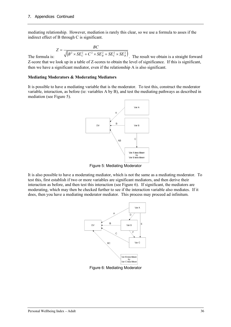mediating relationship. However, mediation is rarely this clear, so we use a formula to asses if the indirect effect of B through C is significant.

$$
Z = \frac{BC}{\sqrt{(B^2 \times SE_C^2 + C^2 \times SE_B^2 + SE_C^2 \times SE_B^2)}}
$$

The formula is:  $\sqrt{(P^2 + 5L_C + C^2 + 5L_B + 5L_C + 5L_B)}$ . The result we obtain is a straight forward Z-score that we look up in a table of Z-scores to obtain the level of significance. If this is significant, then we have a significant mediator, even if the relationship A is also significant.

#### **Mediating Moderators & Moderating Mediators**

It is possible to have a mediating variable that is the moderator. To test this, construct the moderator variable, interaction, as before (ie: variables A by B), and test the mediating pathways as described in mediation (see Figure 5).

![](_page_35_Figure_7.jpeg)

Figure 5: Mediating Moderator

It is also possible to have a moderating mediator, which is not the same as a mediating moderator. To test this, first establish if two or more variables are significant mediators, and then derive their interaction as before, and then test this interaction (see Figure 6). If significant, the mediators are moderating, which may then be checked further to see if the interaction variable also mediates. If it does, then you have a mediating moderator mediator. This process may proceed ad infinitum.

![](_page_35_Figure_10.jpeg)

Figure 6: Mediating Moderator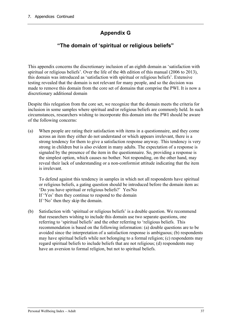# **Appendix G**

## **"The domain of 'spiritual or religious beliefs"**

This appendix concerns the discretionary inclusion of an eighth domain as 'satisfaction with spiritual or religious beliefs'. Over the life of the 4th edition of this manual (2006 to 2013), this domain was introduced as 'satisfaction with spiritual or religious beliefs'. Extensive testing revealed that the domain is not relevant for many people, and so the decision was made to remove this domain from the core set of domains that comprise the PWI. It is now a discretionary additional domain

Despite this relegation from the core set, we recognize that the domain meets the criteria for inclusion in some samples where spiritual and/or religious beliefs are commonly held. In such circumstances, researchers wishing to incorporate this domain into the PWI should be aware of the following concerns:

(a) When people are rating their satisfaction with items in a questionnaire, and they come across an item they either do not understand or which appears irrelevant, there is a strong tendency for them to give a satisfaction response anyway. This tendency is very strong in children but is also evident in many adults. The expectation of a response is signaled by the presence of the item in the questionnaire. So, providing a response is the simplest option, which causes no bother. Not responding, on the other hand, may reveal their lack of understanding or a non-conformist attitude indicating that the item is irrelevant.

To defend against this tendency in samples in which not all respondents have spiritual or religious beliefs, a gating question should be introduced before the domain item as: 'Do you have spiritual or religious beliefs?' Yes/No If 'Yes' then they continue to respond to the domain If 'No' then they skip the domain.

(b) Satisfaction with 'spiritual or religious beliefs' is a double question. We recommend that researchers wishing to include this domain use two separate questions, one referring to 'spiritual beliefs' and the other referring to 'religious beliefs. This recommendation is based on the following information: (a) double questions are to be avoided since the interpretation of a satisfaction response is ambiguous; (b) respondents may have spiritual beliefs while not belonging to a formal religion; (c) respondents may regard spiritual beliefs to include beliefs that are not religious; (d) respondents may have an aversion to formal religion, but not to spiritual beliefs.